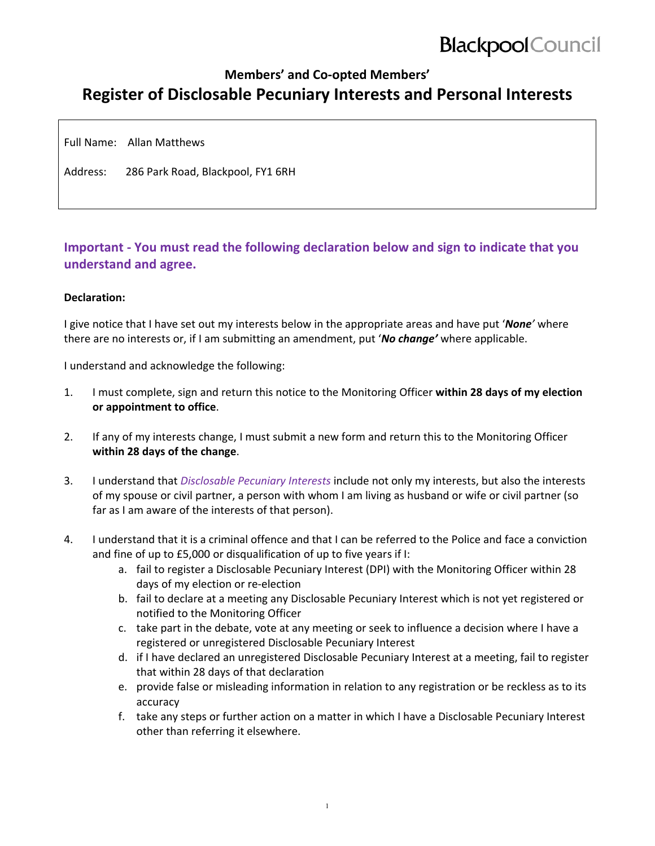# **Blackpool** Council

## **Members' and Co‐opted Members' Register of Disclosable Pecuniary Interests and Personal Interests**

Full Name: Allan Matthews

Address: 286 Park Road, Blackpool, FY1 6RH

### **Important ‐ You must read the following declaration below and sign to indicate that you understand and agree.**

#### **Declaration:**

I give notice that I have set out my interests below in the appropriate areas and have put '*None'* where there are no interests or, if I am submitting an amendment, put '*No change'* where applicable.

I understand and acknowledge the following:

- 1. I must complete, sign and return this notice to the Monitoring Officer **within 28 days of my election or appointment to office**.
- 2. If any of my interests change, I must submit a new form and return this to the Monitoring Officer **within 28 days of the change**.
- 3. I understand that *Disclosable Pecuniary Interests* include not only my interests, but also the interests of my spouse or civil partner, a person with whom I am living as husband or wife or civil partner (so far as I am aware of the interests of that person).
- 4. I understand that it is a criminal offence and that I can be referred to the Police and face a conviction and fine of up to £5,000 or disqualification of up to five years if I:
	- a. fail to register a Disclosable Pecuniary Interest (DPI) with the Monitoring Officer within 28 days of my election or re‐election
	- b. fail to declare at a meeting any Disclosable Pecuniary Interest which is not yet registered or notified to the Monitoring Officer
	- c. take part in the debate, vote at any meeting or seek to influence a decision where I have a registered or unregistered Disclosable Pecuniary Interest
	- d. if I have declared an unregistered Disclosable Pecuniary Interest at a meeting, fail to register that within 28 days of that declaration
	- e. provide false or misleading information in relation to any registration or be reckless as to its accuracy
	- f. take any steps or further action on a matter in which I have a Disclosable Pecuniary Interest other than referring it elsewhere.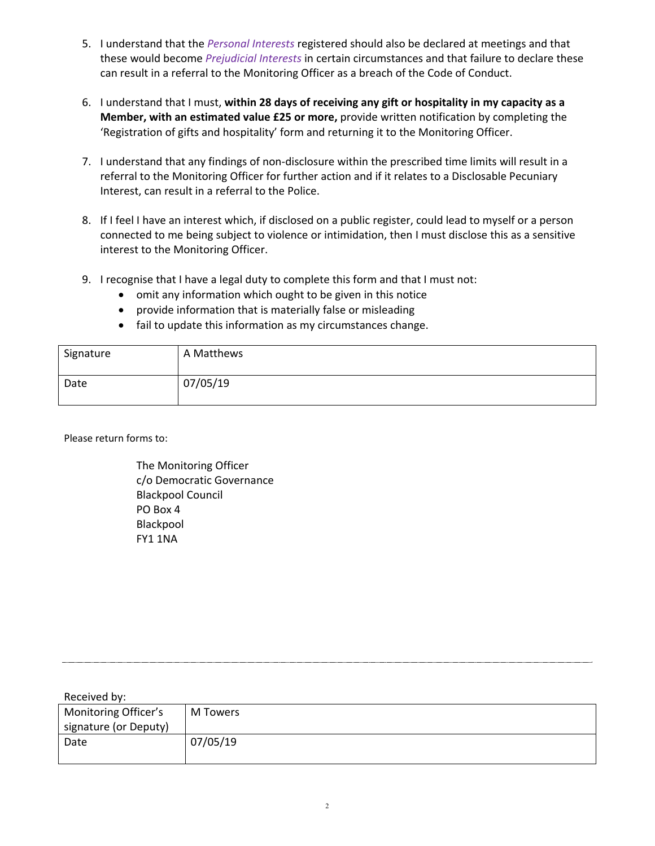- 5. I understand that the *Personal Interests* registered should also be declared at meetings and that these would become *Prejudicial Interests* in certain circumstances and that failure to declare these can result in a referral to the Monitoring Officer as a breach of the Code of Conduct.
- 6. I understand that I must, **within 28 days of receiving any gift or hospitality in my capacity as a Member, with an estimated value £25 or more,** provide written notification by completing the 'Registration of gifts and hospitality' form and returning it to the Monitoring Officer.
- 7. I understand that any findings of non-disclosure within the prescribed time limits will result in a referral to the Monitoring Officer for further action and if it relates to a Disclosable Pecuniary Interest, can result in a referral to the Police.
- 8. If I feel I have an interest which, if disclosed on a public register, could lead to myself or a person connected to me being subject to violence or intimidation, then I must disclose this as a sensitive interest to the Monitoring Officer.
- 9. I recognise that I have a legal duty to complete this form and that I must not:
	- omit any information which ought to be given in this notice
	- provide information that is materially false or misleading
	- fail to update this information as my circumstances change.

| Signature | A Matthews |
|-----------|------------|
| Date      | 07/05/19   |

Please return forms to:

The Monitoring Officer c/o Democratic Governance Blackpool Council PO Box 4 Blackpool FY1 1NA

| Received by:          |          |
|-----------------------|----------|
| Monitoring Officer's  | M Towers |
| signature (or Deputy) |          |
| Date                  | 07/05/19 |
|                       |          |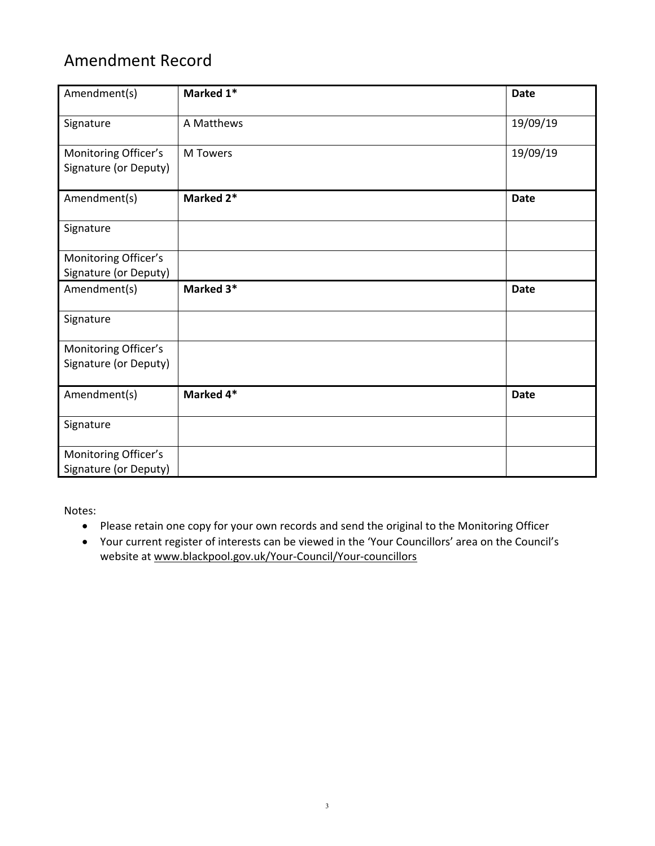# Amendment Record

| Amendment(s)                                  | Marked 1*       | <b>Date</b> |
|-----------------------------------------------|-----------------|-------------|
| Signature                                     | A Matthews      | 19/09/19    |
| Monitoring Officer's<br>Signature (or Deputy) | <b>M</b> Towers | 19/09/19    |
| Amendment(s)                                  | Marked 2*       | <b>Date</b> |
| Signature                                     |                 |             |
| Monitoring Officer's<br>Signature (or Deputy) |                 |             |
| Amendment(s)                                  | Marked 3*       | <b>Date</b> |
| Signature                                     |                 |             |
| Monitoring Officer's<br>Signature (or Deputy) |                 |             |
| Amendment(s)                                  | Marked 4*       | <b>Date</b> |
| Signature                                     |                 |             |
| Monitoring Officer's<br>Signature (or Deputy) |                 |             |

Notes:

- Please retain one copy for your own records and send the original to the Monitoring Officer
- Your current register of interests can be viewed in the 'Your Councillors' area on the Council's website at www.blackpool.gov.uk/Your-Council/Your-councillors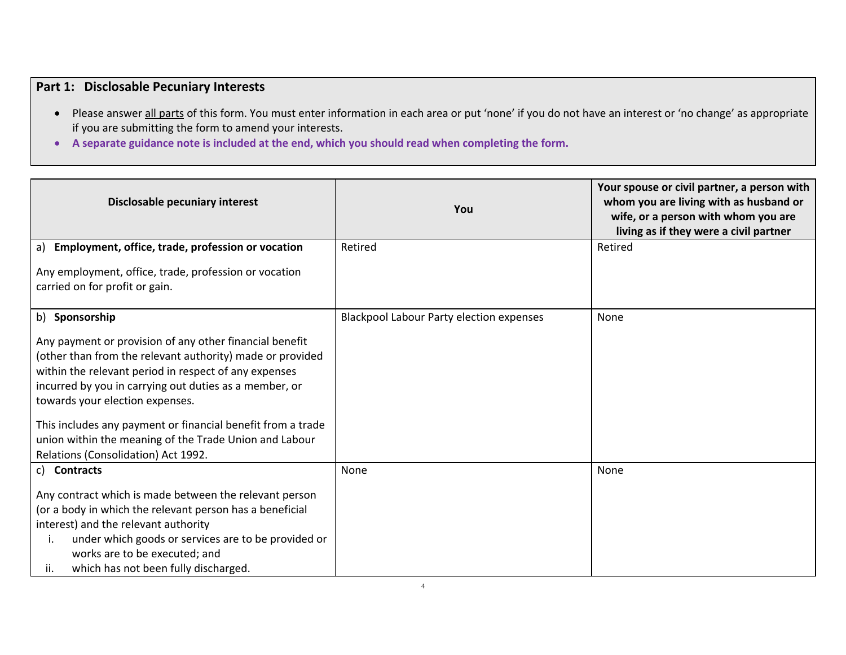### **Part 1: Disclosable Pecuniary Interests**

- Please answer all parts of this form. You must enter information in each area or put 'none' if you do not have an interest or 'no change' as appropriate if you are submitting the form to amend your interests.
- **A separate guidance note is included at the end, which you should read when completing the form.**

| Disclosable pecuniary interest                                                                                                                                                                                                                                                                                                                                                                                                             | You                                             | Your spouse or civil partner, a person with<br>whom you are living with as husband or<br>wife, or a person with whom you are<br>living as if they were a civil partner |
|--------------------------------------------------------------------------------------------------------------------------------------------------------------------------------------------------------------------------------------------------------------------------------------------------------------------------------------------------------------------------------------------------------------------------------------------|-------------------------------------------------|------------------------------------------------------------------------------------------------------------------------------------------------------------------------|
| a) Employment, office, trade, profession or vocation                                                                                                                                                                                                                                                                                                                                                                                       | Retired                                         | Retired                                                                                                                                                                |
| Any employment, office, trade, profession or vocation<br>carried on for profit or gain.                                                                                                                                                                                                                                                                                                                                                    |                                                 |                                                                                                                                                                        |
| b) Sponsorship                                                                                                                                                                                                                                                                                                                                                                                                                             | <b>Blackpool Labour Party election expenses</b> | None                                                                                                                                                                   |
| Any payment or provision of any other financial benefit<br>(other than from the relevant authority) made or provided<br>within the relevant period in respect of any expenses<br>incurred by you in carrying out duties as a member, or<br>towards your election expenses.<br>This includes any payment or financial benefit from a trade<br>union within the meaning of the Trade Union and Labour<br>Relations (Consolidation) Act 1992. |                                                 |                                                                                                                                                                        |
| c) Contracts                                                                                                                                                                                                                                                                                                                                                                                                                               | None                                            | None                                                                                                                                                                   |
| Any contract which is made between the relevant person<br>(or a body in which the relevant person has a beneficial<br>interest) and the relevant authority<br>under which goods or services are to be provided or<br>i.<br>works are to be executed; and<br>which has not been fully discharged.<br>ii.                                                                                                                                    |                                                 |                                                                                                                                                                        |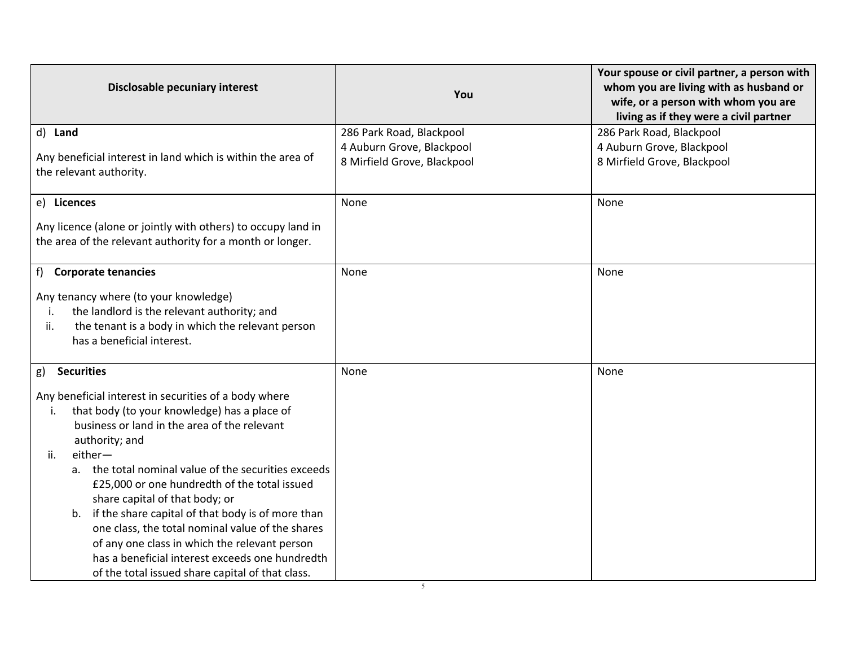| Disclosable pecuniary interest                               | You                         | Your spouse or civil partner, a person with<br>whom you are living with as husband or |
|--------------------------------------------------------------|-----------------------------|---------------------------------------------------------------------------------------|
|                                                              |                             | wife, or a person with whom you are                                                   |
|                                                              |                             | living as if they were a civil partner                                                |
| d) Land                                                      | 286 Park Road, Blackpool    | 286 Park Road, Blackpool                                                              |
|                                                              | 4 Auburn Grove, Blackpool   | 4 Auburn Grove, Blackpool                                                             |
| Any beneficial interest in land which is within the area of  | 8 Mirfield Grove, Blackpool | 8 Mirfield Grove, Blackpool                                                           |
| the relevant authority.                                      |                             |                                                                                       |
| e) Licences                                                  | None                        | None                                                                                  |
| Any licence (alone or jointly with others) to occupy land in |                             |                                                                                       |
| the area of the relevant authority for a month or longer.    |                             |                                                                                       |
|                                                              |                             |                                                                                       |
| f) Corporate tenancies                                       | None                        | None                                                                                  |
| Any tenancy where (to your knowledge)                        |                             |                                                                                       |
| the landlord is the relevant authority; and<br>i.            |                             |                                                                                       |
| the tenant is a body in which the relevant person<br>ii.     |                             |                                                                                       |
| has a beneficial interest.                                   |                             |                                                                                       |
|                                                              |                             |                                                                                       |
| <b>Securities</b><br>g)                                      | None                        | None                                                                                  |
| Any beneficial interest in securities of a body where        |                             |                                                                                       |
| that body (to your knowledge) has a place of<br>i.           |                             |                                                                                       |
| business or land in the area of the relevant                 |                             |                                                                                       |
| authority; and                                               |                             |                                                                                       |
| either-<br>ii.                                               |                             |                                                                                       |
| a. the total nominal value of the securities exceeds         |                             |                                                                                       |
| £25,000 or one hundredth of the total issued                 |                             |                                                                                       |
| share capital of that body; or                               |                             |                                                                                       |
| if the share capital of that body is of more than<br>b.      |                             |                                                                                       |
| one class, the total nominal value of the shares             |                             |                                                                                       |
| of any one class in which the relevant person                |                             |                                                                                       |
| has a beneficial interest exceeds one hundredth              |                             |                                                                                       |
| of the total issued share capital of that class.             |                             |                                                                                       |